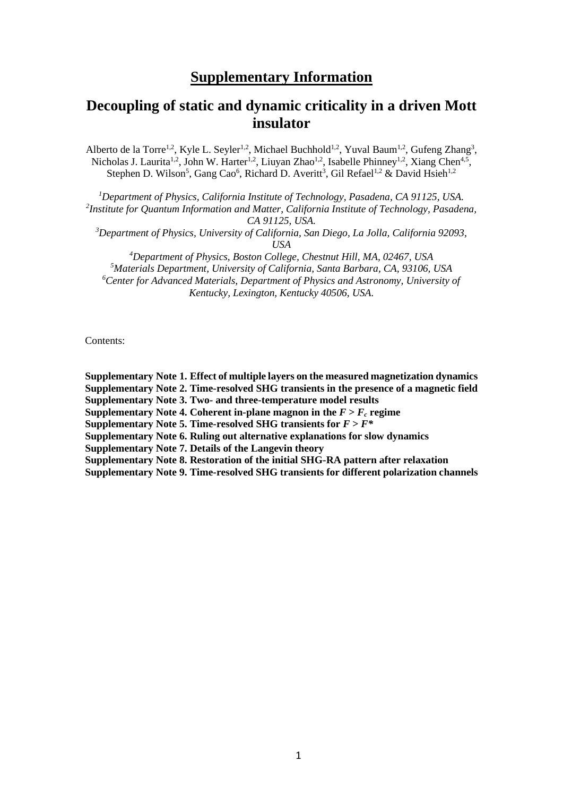## **Supplementary Information**

# **Decoupling of static and dynamic criticality in a driven Mott insulator**

Alberto de la Torre<sup>1,2</sup>, Kyle L. Seyler<sup>1,2</sup>, Michael Buchhold<sup>1,2</sup>, Yuval Baum<sup>1,2</sup>, Gufeng Zhang<sup>3</sup>, Nicholas J. Laurita<sup>1,2</sup>, John W. Harter<sup>1,2</sup>, Liuyan Zhao<sup>1,2</sup>, Isabelle Phinney<sup>1,2</sup>, Xiang Chen<sup>4,5</sup>, Stephen D. Wilson<sup>5</sup>, Gang Cao<sup>6</sup>, Richard D. Averitt<sup>3</sup>, Gil Refael<sup>1,2</sup> & David Hsieh<sup>1,2</sup>

*<sup>1</sup>Department of Physics, California Institute of Technology, Pasadena, CA 91125, USA. 2 Institute for Quantum Information and Matter, California Institute of Technology, Pasadena, CA 91125, USA.*

*<sup>3</sup>Department of Physics, University of California, San Diego, La Jolla, California 92093, USA*

*Department of Physics, Boston College, Chestnut Hill, MA, 02467, USA Materials Department, University of California, Santa Barbara, CA, 93106, USA Center for Advanced Materials, Department of Physics and Astronomy, University of Kentucky, Lexington, Kentucky 40506, USA.*

Contents:

**Supplementary Note 1. Effect of multiple layers on the measured magnetization dynamics Supplementary Note 2. Time-resolved SHG transients in the presence of a magnetic field Supplementary Note 3. Two- and three-temperature model results Supplementary Note 4. Coherent in-plane magnon in the**  $F > F_c$  **regime Supplementary Note 5. Time-resolved SHG transients for**  $F > F^*$ **Supplementary Note 6. Ruling out alternative explanations for slow dynamics Supplementary Note 7. Details of the Langevin theory Supplementary Note 8. Restoration of the initial SHG-RA pattern after relaxation Supplementary Note 9. Time-resolved SHG transients for different polarization channels**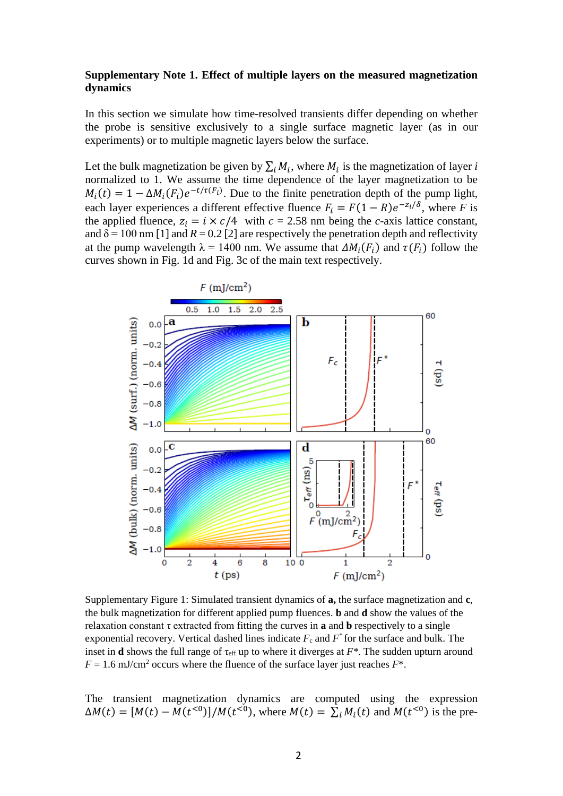## **Supplementary Note 1. Effect of multiple layers on the measured magnetization dynamics**

In this section we simulate how time-resolved transients differ depending on whether the probe is sensitive exclusively to a single surface magnetic layer (as in our experiments) or to multiple magnetic layers below the surface.

Let the bulk magnetization be given by  $\sum_i M_i$ , where  $M_i$  is the magnetization of layer *i* normalized to 1. We assume the time dependence of the layer magnetization to be  $M_i(t) = 1 - \Delta M_i(F_i) e^{-t/\tau(F_i)}$ . Due to the finite penetration depth of the pump light, each layer experiences a different effective fluence  $F_i = F(1 - R)e^{-\frac{z_i}{\delta}}$ , where *F* is the applied fluence,  $z_i = i \times c/4$  with  $c = 2.58$  nm being the *c*-axis lattice constant, and  $\delta$  = 100 nm [1] and *R* = 0.2 [2] are respectively the penetration depth and reflectivity at the pump wavelength  $\lambda = 1400$  nm. We assume that  $\Delta M_i(F_i)$  and  $\tau(F_i)$  follow the curves shown in Fig. 1d and Fig. 3c of the main text respectively.



Supplementary Figure 1: Simulated transient dynamics of **a,** the surface magnetization and **c**, the bulk magnetization for different applied pump fluences. **b** and **d** show the values of the relaxation constant τ extracted from fitting the curves in **a** and **b** respectively to a single exponential recovery. Vertical dashed lines indicate  $F_c$  and  $F^*$  for the surface and bulk. The inset in **d** shows the full range of  $\tau_{\text{eff}}$  up to where it diverges at  $F^*$ . The sudden upturn around  $F = 1.6$  mJ/cm<sup>2</sup> occurs where the fluence of the surface layer just reaches  $F^*$ .

The transient magnetization dynamics are computed using the expression  $\Delta M(t) = [M(t) - M(t^{0.0})]/M(t^{0.0})$ , where  $M(t) = \sum_i M_i(t)$  and  $M(t^{0.0})$  is the pre-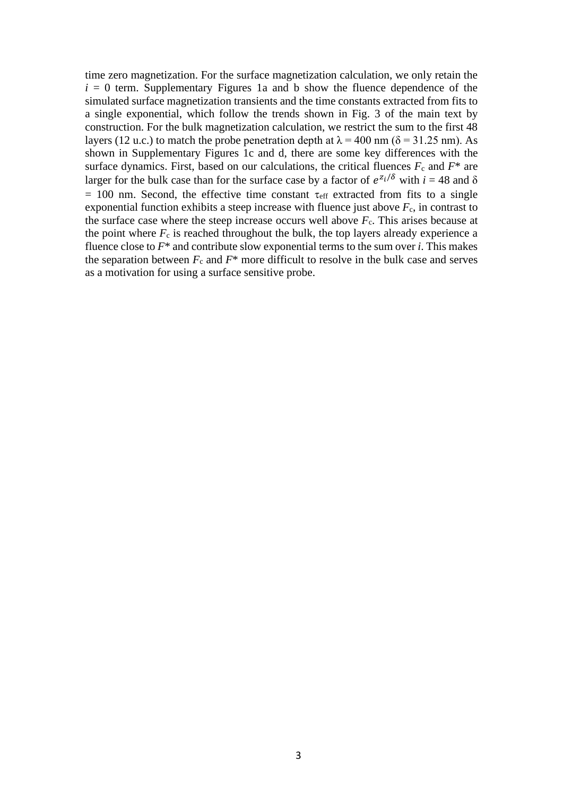time zero magnetization. For the surface magnetization calculation, we only retain the  $i = 0$  term. Supplementary Figures 1a and b show the fluence dependence of the simulated surface magnetization transients and the time constants extracted from fits to a single exponential, which follow the trends shown in Fig. 3 of the main text by construction. For the bulk magnetization calculation, we restrict the sum to the first 48 layers (12 u.c.) to match the probe penetration depth at  $\lambda = 400$  nm ( $\delta = 31.25$  nm). As shown in Supplementary Figures 1c and d, there are some key differences with the surface dynamics. First, based on our calculations, the critical fluences  $F_c$  and  $F^*$  are larger for the bulk case than for the surface case by a factor of  $e^{z_i/\delta}$  with  $i = 48$  and  $\delta$  $= 100$  nm. Second, the effective time constant  $\tau_{\text{eff}}$  extracted from fits to a single exponential function exhibits a steep increase with fluence just above  $F_c$ , in contrast to the surface case where the steep increase occurs well above  $F_c$ . This arises because at the point where  $F_c$  is reached throughout the bulk, the top layers already experience a fluence close to *F*\* and contribute slow exponential terms to the sum over *i*. This makes the separation between  $F_c$  and  $F^*$  more difficult to resolve in the bulk case and serves as a motivation for using a surface sensitive probe.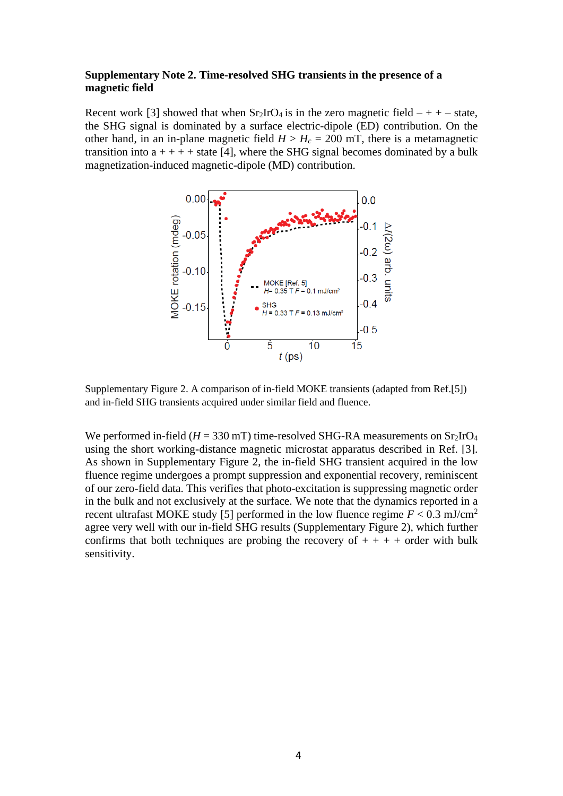## **Supplementary Note 2. Time-resolved SHG transients in the presence of a magnetic field**

Recent work [3] showed that when  $Sr_2IrO_4$  is in the zero magnetic field  $-++$  state, the SHG signal is dominated by a surface electric-dipole (ED) contribution. On the other hand, in an in-plane magnetic field  $H > H_c = 200$  mT, there is a metamagnetic transition into  $a + + + +$  state [4], where the SHG signal becomes dominated by a bulk magnetization-induced magnetic-dipole (MD) contribution.



Supplementary Figure 2. A comparison of in-field MOKE transients (adapted from Ref.[5]) and in-field SHG transients acquired under similar field and fluence.

We performed in-field  $(H = 330$  mT) time-resolved SHG-RA measurements on  $Sr<sub>2</sub>IrO<sub>4</sub>$ using the short working-distance magnetic microstat apparatus described in Ref. [3]. As shown in Supplementary Figure 2, the in-field SHG transient acquired in the low fluence regime undergoes a prompt suppression and exponential recovery, reminiscent of our zero-field data. This verifies that photo-excitation is suppressing magnetic order in the bulk and not exclusively at the surface. We note that the dynamics reported in a recent ultrafast MOKE study [5] performed in the low fluence regime  $F < 0.3$  mJ/cm<sup>2</sup> agree very well with our in-field SHG results (Supplementary Figure 2), which further confirms that both techniques are probing the recovery of  $++++$  order with bulk sensitivity.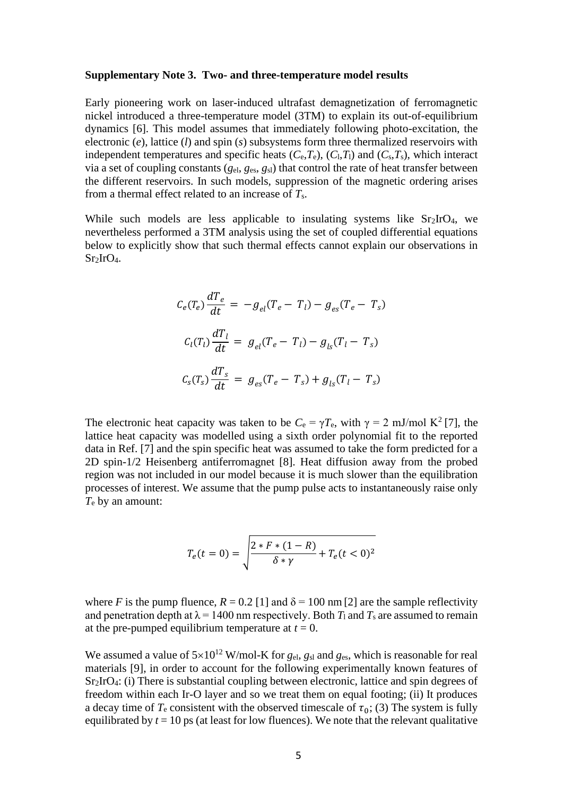#### **Supplementary Note 3. Two- and three-temperature model results**

Early pioneering work on laser-induced ultrafast demagnetization of ferromagnetic nickel introduced a three-temperature model (3TM) to explain its out-of-equilibrium dynamics [6]. This model assumes that immediately following photo-excitation, the electronic (*e*), lattice (*l*) and spin (*s*) subsystems form three thermalized reservoirs with independent temperatures and specific heats  $(C_e, T_e)$ ,  $(C_l, T_l)$  and  $(C_s, T_s)$ , which interact via a set of coupling constants (*g*el, *g*es, *g*sl) that control the rate of heat transfer between the different reservoirs. In such models, suppression of the magnetic ordering arises from a thermal effect related to an increase of *T*s.

While such models are less applicable to insulating systems like Sr<sub>2</sub>IrO<sub>4</sub>, we nevertheless performed a 3TM analysis using the set of coupled differential equations below to explicitly show that such thermal effects cannot explain our observations in  $Sr<sub>2</sub>IrO<sub>4</sub>$ .

$$
C_e(T_e) \frac{dT_e}{dt} = -g_{el}(T_e - T_l) - g_{es}(T_e - T_s)
$$
  

$$
C_l(T_l) \frac{dT_l}{dt} = g_{el}(T_e - T_l) - g_{ls}(T_l - T_s)
$$
  

$$
C_s(T_s) \frac{dT_s}{dt} = g_{es}(T_e - T_s) + g_{ls}(T_l - T_s)
$$

The electronic heat capacity was taken to be  $C_e = \gamma T_e$ , with  $\gamma = 2$  mJ/mol K<sup>2</sup> [7], the lattice heat capacity was modelled using a sixth order polynomial fit to the reported data in Ref. [7] and the spin specific heat was assumed to take the form predicted for a 2D spin-1/2 Heisenberg antiferromagnet [8]. Heat diffusion away from the probed region was not included in our model because it is much slower than the equilibration processes of interest. We assume that the pump pulse acts to instantaneously raise only *T*<sup>e</sup> by an amount:

$$
T_e(t=0) = \sqrt{\frac{2 * F * (1 - R)}{\delta * \gamma}} + T_e(t < 0)^2
$$

where *F* is the pump fluence,  $R = 0.2$  [1] and  $\delta = 100$  nm [2] are the sample reflectivity and penetration depth at  $\lambda = 1400$  nm respectively. Both  $T_1$  and  $T_s$  are assumed to remain at the pre-pumped equilibrium temperature at  $t = 0$ .

We assumed a value of  $5\times10^{12}$  W/mol-K for *g*<sub>el</sub>, *g*<sub>sl</sub> and *g*<sub>es</sub>, which is reasonable for real materials [9], in order to account for the following experimentally known features of Sr2IrO4: (i) There is substantial coupling between electronic, lattice and spin degrees of freedom within each Ir-O layer and so we treat them on equal footing; (ii) It produces a decay time of  $T_e$  consistent with the observed timescale of  $\tau_0$ ; (3) The system is fully equilibrated by  $t = 10$  ps (at least for low fluences). We note that the relevant qualitative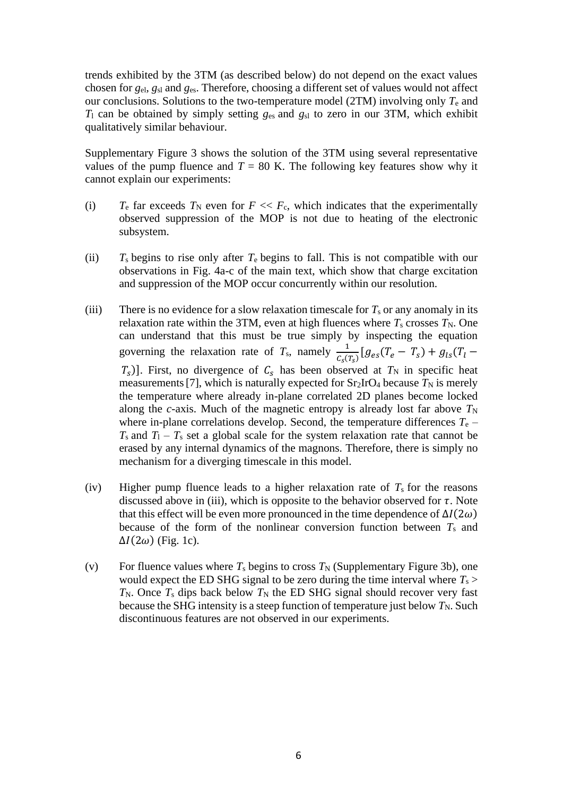trends exhibited by the 3TM (as described below) do not depend on the exact values chosen for *g*el, *g*sl and *g*es. Therefore, choosing a different set of values would not affect our conclusions. Solutions to the two-temperature model (2TM) involving only *T*<sup>e</sup> and *T*<sup>l</sup> can be obtained by simply setting *g*es and *g*sl to zero in our 3TM, which exhibit qualitatively similar behaviour.

Supplementary Figure 3 shows the solution of the 3TM using several representative values of the pump fluence and  $T = 80$  K. The following key features show why it cannot explain our experiments:

- (i)  $T_e$  far exceeds  $T_N$  even for  $F \ll F_c$ , which indicates that the experimentally observed suppression of the MOP is not due to heating of the electronic subsystem.
- (ii) *T*s begins to rise only after *T*<sup>e</sup> begins to fall. This is not compatible with our observations in Fig. 4a-c of the main text, which show that charge excitation and suppression of the MOP occur concurrently within our resolution.
- (iii) There is no evidence for a slow relaxation timescale for  $T_s$  or any anomaly in its relaxation rate within the 3TM, even at high fluences where  $T_s$  crosses  $T_N$ . One can understand that this must be true simply by inspecting the equation governing the relaxation rate of  $T_s$ , namely  $\frac{1}{c_s(T_s)} [g_{es}(T_e - T_s) + g_{ls}(T_l (T<sub>s</sub>)$ ]. First, no divergence of  $C<sub>s</sub>$  has been observed at  $T<sub>N</sub>$  in specific heat measurements [7], which is naturally expected for  $Sr<sub>2</sub>IrO<sub>4</sub>$  because  $T<sub>N</sub>$  is merely the temperature where already in-plane correlated 2D planes become locked along the *c*-axis. Much of the magnetic entropy is already lost far above  $T_N$ where in-plane correlations develop. Second, the temperature differences  $T_e$  –  $T_s$  and  $T_1 - T_s$  set a global scale for the system relaxation rate that cannot be erased by any internal dynamics of the magnons. Therefore, there is simply no mechanism for a diverging timescale in this model.
- (iv) Higher pump fluence leads to a higher relaxation rate of  $T<sub>s</sub>$  for the reasons discussed above in (iii), which is opposite to the behavior observed for  $\tau$ . Note that this effect will be even more pronounced in the time dependence of  $\Delta I(2\omega)$ because of the form of the nonlinear conversion function between *T*<sup>s</sup> and  $\Delta I(2\omega)$  (Fig. 1c).
- (v) For fluence values where  $T_s$  begins to cross  $T_N$  (Supplementary Figure 3b), one would expect the ED SHG signal to be zero during the time interval where  $T_s$  $T_N$ . Once  $T_S$  dips back below  $T_N$  the ED SHG signal should recover very fast because the SHG intensity is a steep function of temperature just below  $T_N$ . Such discontinuous features are not observed in our experiments.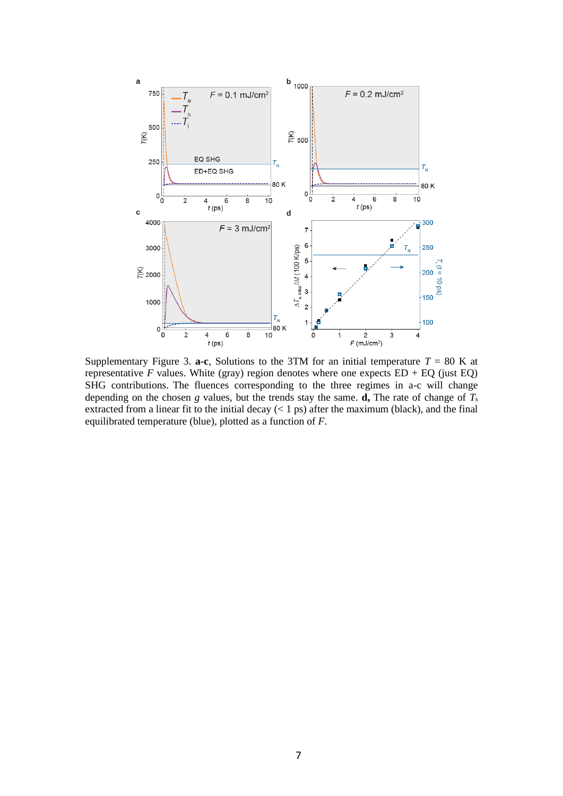

Supplementary Figure 3. **a-c**, Solutions to the 3TM for an initial temperature  $T = 80$  K at representative *F* values. White (gray) region denotes where one expects  $ED + EO$  (just  $EO$ ) SHG contributions. The fluences corresponding to the three regimes in a-c will change depending on the chosen *g* values, but the trends stay the same. **d**, The rate of change of  $T_s$ extracted from a linear fit to the initial decay  $(< 1 \text{ ps})$  after the maximum (black), and the final equilibrated temperature (blue), plotted as a function of *F*.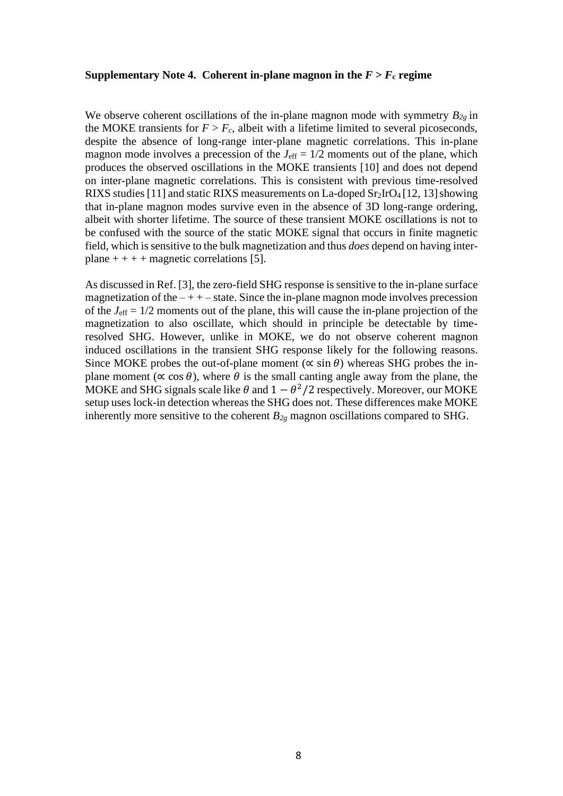#### **Supplementary Note 4. Coherent in-plane magnon in the**  $F > F_c$  **regime**

We observe coherent oscillations of the in-plane magnon mode with symmetry *B2g* in the MOKE transients for  $F > F_c$ , albeit with a lifetime limited to several picoseconds, despite the absence of long-range inter-plane magnetic correlations. This in-plane magnon mode involves a precession of the  $J_{\text{eff}} = 1/2$  moments out of the plane, which produces the observed oscillations in the MOKE transients [10] and does not depend on inter-plane magnetic correlations. This is consistent with previous time-resolved RIXS studies [11] and static RIXS measurements on La-doped  $Sr<sub>2</sub>IrO<sub>4</sub>$  [12, 13] showing that in-plane magnon modes survive even in the absence of 3D long-range ordering, albeit with shorter lifetime. The source of these transient MOKE oscillations is not to be confused with the source of the static MOKE signal that occurs in finite magnetic field, which is sensitive to the bulk magnetization and thus *does* depend on having interplane  $++++$  magnetic correlations [5].

As discussed in Ref. [3], the zero-field SHG response is sensitive to the in-plane surface magnetization of the  $-++$  – state. Since the in-plane magnon mode involves precession of the *J*eff = 1/2 moments out of the plane, this will cause the in-plane projection of the magnetization to also oscillate, which should in principle be detectable by timeresolved SHG. However, unlike in MOKE, we do not observe coherent magnon induced oscillations in the transient SHG response likely for the following reasons. Since MOKE probes the out-of-plane moment ( $\propto \sin \theta$ ) whereas SHG probes the inplane moment ( $\propto \cos \theta$ ), where  $\theta$  is the small canting angle away from the plane, the MOKE and SHG signals scale like  $\theta$  and  $1 - \theta^2/2$  respectively. Moreover, our MOKE setup uses lock-in detection whereas the SHG does not. These differences make MOKE inherently more sensitive to the coherent *B2g* magnon oscillations compared to SHG.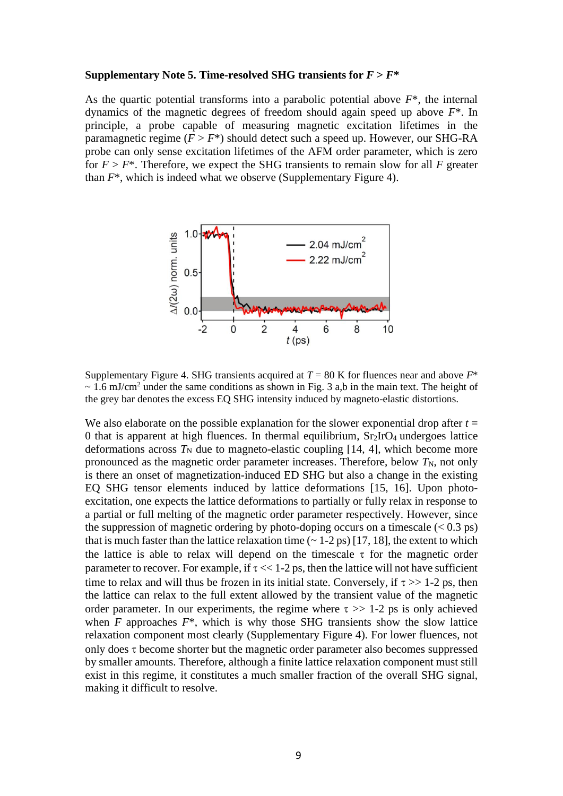#### **Supplementary Note 5. Time-resolved SHG transients for**  $F > F^*$

As the quartic potential transforms into a parabolic potential above *F*\*, the internal dynamics of the magnetic degrees of freedom should again speed up above *F*\*. In principle, a probe capable of measuring magnetic excitation lifetimes in the paramagnetic regime  $(F > F^*)$  should detect such a speed up. However, our SHG-RA probe can only sense excitation lifetimes of the AFM order parameter, which is zero for  $F > F^*$ . Therefore, we expect the SHG transients to remain slow for all F greater than *F*\*, which is indeed what we observe (Supplementary Figure 4).



Supplementary Figure 4. SHG transients acquired at  $T = 80$  K for fluences near and above  $F^*$  $\sim$  1.6 mJ/cm<sup>2</sup> under the same conditions as shown in Fig. 3 a,b in the main text. The height of the grey bar denotes the excess EQ SHG intensity induced by magneto-elastic distortions.

We also elaborate on the possible explanation for the slower exponential drop after  $t =$ 0 that is apparent at high fluences. In thermal equilibrium,  $Sr<sub>2</sub>IrO<sub>4</sub>$  undergoes lattice deformations across  $T_N$  due to magneto-elastic coupling [14, 4], which become more pronounced as the magnetic order parameter increases. Therefore, below  $T_N$ , not only is there an onset of magnetization-induced ED SHG but also a change in the existing EQ SHG tensor elements induced by lattice deformations [15, 16]. Upon photoexcitation, one expects the lattice deformations to partially or fully relax in response to a partial or full melting of the magnetic order parameter respectively. However, since the suppression of magnetic ordering by photo-doping occurs on a timescale  $(< 0.3 \text{ ps})$ that is much faster than the lattice relaxation time  $(-1-2 \text{ ps})$  [17, 18], the extent to which the lattice is able to relax will depend on the timescale  $\tau$  for the magnetic order parameter to recover. For example, if  $\tau \ll 1$ -2 ps, then the lattice will not have sufficient time to relax and will thus be frozen in its initial state. Conversely, if  $\tau >> 1-2$  ps, then the lattice can relax to the full extent allowed by the transient value of the magnetic order parameter. In our experiments, the regime where  $\tau \gg 1$ -2 ps is only achieved when  $F$  approaches  $F^*$ , which is why those SHG transients show the slow lattice relaxation component most clearly (Supplementary Figure 4). For lower fluences, not only does  $\tau$  become shorter but the magnetic order parameter also becomes suppressed by smaller amounts. Therefore, although a finite lattice relaxation component must still exist in this regime, it constitutes a much smaller fraction of the overall SHG signal, making it difficult to resolve.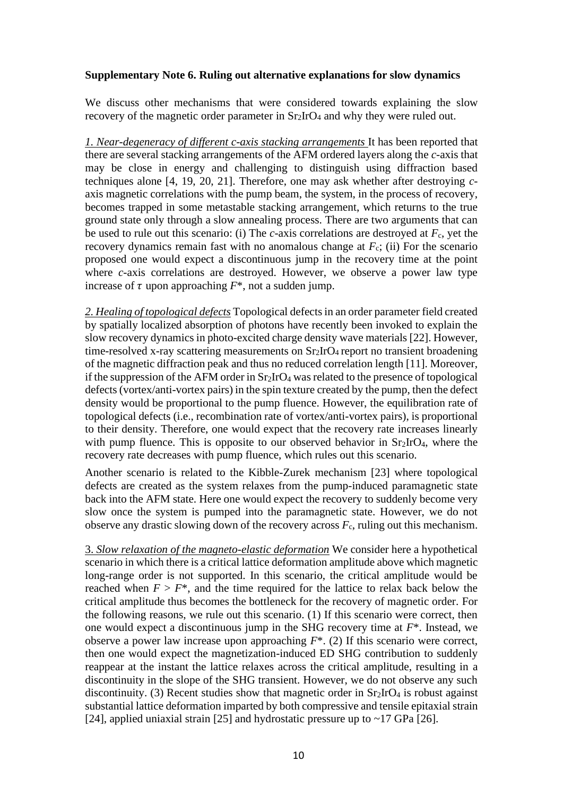## **Supplementary Note 6. Ruling out alternative explanations for slow dynamics**

We discuss other mechanisms that were considered towards explaining the slow recovery of the magnetic order parameter in  $Sr<sub>2</sub>IrO<sub>4</sub>$  and why they were ruled out.

*1. Near-degeneracy of different c-axis stacking arrangements* It has been reported that there are several stacking arrangements of the AFM ordered layers along the *c*-axis that may be close in energy and challenging to distinguish using diffraction based techniques alone [4, 19, 20, 21]. Therefore, one may ask whether after destroying *c*axis magnetic correlations with the pump beam, the system, in the process of recovery, becomes trapped in some metastable stacking arrangement, which returns to the true ground state only through a slow annealing process. There are two arguments that can be used to rule out this scenario: (i) The  $c$ -axis correlations are destroyed at  $F_c$ , yet the recovery dynamics remain fast with no anomalous change at *F*c; (ii) For the scenario proposed one would expect a discontinuous jump in the recovery time at the point where *c*-axis correlations are destroyed. However, we observe a power law type increase of  $\tau$  upon approaching  $F^*$ , not a sudden jump.

*2. Healing of topological defects* Topological defects in an order parameter field created by spatially localized absorption of photons have recently been invoked to explain the slow recovery dynamics in photo-excited charge density wave materials [22]. However, time-resolved x-ray scattering measurements on Sr2IrO4 report no transient broadening of the magnetic diffraction peak and thus no reduced correlation length [11]. Moreover, if the suppression of the AFM order in  $Sr<sub>2</sub>IrO<sub>4</sub>$  was related to the presence of topological defects (vortex/anti-vortex pairs) in the spin texture created by the pump, then the defect density would be proportional to the pump fluence. However, the equilibration rate of topological defects (i.e., recombination rate of vortex/anti-vortex pairs), is proportional to their density. Therefore, one would expect that the recovery rate increases linearly with pump fluence. This is opposite to our observed behavior in  $Sr<sub>2</sub>IrO<sub>4</sub>$ , where the recovery rate decreases with pump fluence, which rules out this scenario.

Another scenario is related to the Kibble-Zurek mechanism [23] where topological defects are created as the system relaxes from the pump-induced paramagnetic state back into the AFM state. Here one would expect the recovery to suddenly become very slow once the system is pumped into the paramagnetic state. However, we do not observe any drastic slowing down of the recovery across  $F_c$ , ruling out this mechanism.

3. *Slow relaxation of the magneto-elastic deformation* We consider here a hypothetical scenario in which there is a critical lattice deformation amplitude above which magnetic long-range order is not supported. In this scenario, the critical amplitude would be reached when  $F > F^*$ , and the time required for the lattice to relax back below the critical amplitude thus becomes the bottleneck for the recovery of magnetic order. For the following reasons, we rule out this scenario. (1) If this scenario were correct, then one would expect a discontinuous jump in the SHG recovery time at *F*\*. Instead, we observe a power law increase upon approaching *F*\*. (2) If this scenario were correct, then one would expect the magnetization-induced ED SHG contribution to suddenly reappear at the instant the lattice relaxes across the critical amplitude, resulting in a discontinuity in the slope of the SHG transient. However, we do not observe any such discontinuity. (3) Recent studies show that magnetic order in  $Sr<sub>2</sub>IrO<sub>4</sub>$  is robust against substantial lattice deformation imparted by both compressive and tensile epitaxial strain [24], applied uniaxial strain [25] and hydrostatic pressure up to  $\sim$ 17 GPa [26].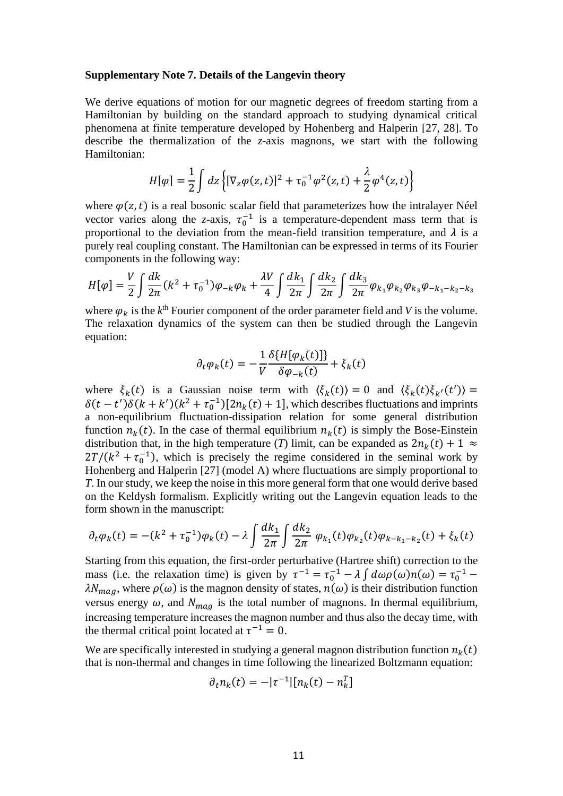#### **Supplementary Note 7. Details of the Langevin theory**

We derive equations of motion for our magnetic degrees of freedom starting from a Hamiltonian by building on the standard approach to studying dynamical critical phenomena at finite temperature developed by Hohenberg and Halperin [27, 28]. To describe the thermalization of the *z*-axis magnons, we start with the following Hamiltonian:

$$
H[\varphi] = \frac{1}{2} \int dz \left\{ [\nabla_z \varphi(z, t)]^2 + \tau_0^{-1} \varphi^2(z, t) + \frac{\lambda}{2} \varphi^4(z, t) \right\}
$$

where  $\varphi(z,t)$  is a real bosonic scalar field that parameterizes how the intralayer Néel vector varies along the *z*-axis,  $\tau_0^{-1}$  is a temperature-dependent mass term that is proportional to the deviation from the mean-field transition temperature, and  $\lambda$  is a purely real coupling constant. The Hamiltonian can be expressed in terms of its Fourier components in the following way:

$$
H[\varphi] = \frac{V}{2} \int \frac{dk}{2\pi} (k^2 + \tau_0^{-1}) \varphi_{-k} \varphi_k + \frac{\lambda V}{4} \int \frac{dk_1}{2\pi} \int \frac{dk_2}{2\pi} \int \frac{dk_3}{2\pi} \varphi_{k_1} \varphi_{k_2} \varphi_{k_3} \varphi_{-k_1 - k_2 - k_3}
$$

where  $\varphi_k$  is the  $k^{\text{th}}$  Fourier component of the order parameter field and *V* is the volume. The relaxation dynamics of the system can then be studied through the Langevin equation:

$$
\partial_t \varphi_k(t) = -\frac{1}{V} \frac{\delta \{ H[\varphi_k(t)] \}}{\delta \varphi_{-k}(t)} + \xi_k(t)
$$

where  $\xi_k(t)$  is a Gaussian noise term with  $\langle \xi_k(t) \rangle = 0$  and  $\langle \xi_k(t) \xi_{k'}(t') \rangle =$  $\delta(t-t')\delta(k+k')(k^2+\tau_0^{-1})[2n_k(t)+1]$ , which describes fluctuations and imprints a non-equilibrium fluctuation-dissipation relation for some general distribution function  $n_k(t)$ . In the case of thermal equilibrium  $n_k(t)$  is simply the Bose-Einstein distribution that, in the high temperature (*T*) limit, can be expanded as  $2n_k(t) + 1 \approx$  $2T/(k^2 + \tau_0^{-1})$ , which is precisely the regime considered in the seminal work by Hohenberg and Halperin [27] (model A) where fluctuations are simply proportional to *T*. In our study, we keep the noise in this more general form that one would derive based on the Keldysh formalism. Explicitly writing out the Langevin equation leads to the form shown in the manuscript:

$$
\partial_t \varphi_k(t) = -(k^2 + \tau_0^{-1})\varphi_k(t) - \lambda \int \frac{dk_1}{2\pi} \int \frac{dk_2}{2\pi} \varphi_{k_1}(t)\varphi_{k_2}(t)\varphi_{k-k_1-k_2}(t) + \xi_k(t)
$$

Starting from this equation, the first-order perturbative (Hartree shift) correction to the mass (i.e. the relaxation time) is given by  $\tau^{-1} = \tau_0^{-1} - \lambda \int d\omega \rho(\omega) n(\omega) = \tau_0^{-1} \lambda N_{mag}$ , where  $\rho(\omega)$  is the magnon density of states,  $n(\omega)$  is their distribution function versus energy  $\omega$ , and  $N_{mag}$  is the total number of magnons. In thermal equilibrium, increasing temperature increases the magnon number and thus also the decay time, with the thermal critical point located at  $\tau^{-1} = 0$ .

We are specifically interested in studying a general magnon distribution function  $n_k(t)$ that is non-thermal and changes in time following the linearized Boltzmann equation:

$$
\partial_t n_k(t) = -|\tau^{-1}| [n_k(t) - n_k^T]
$$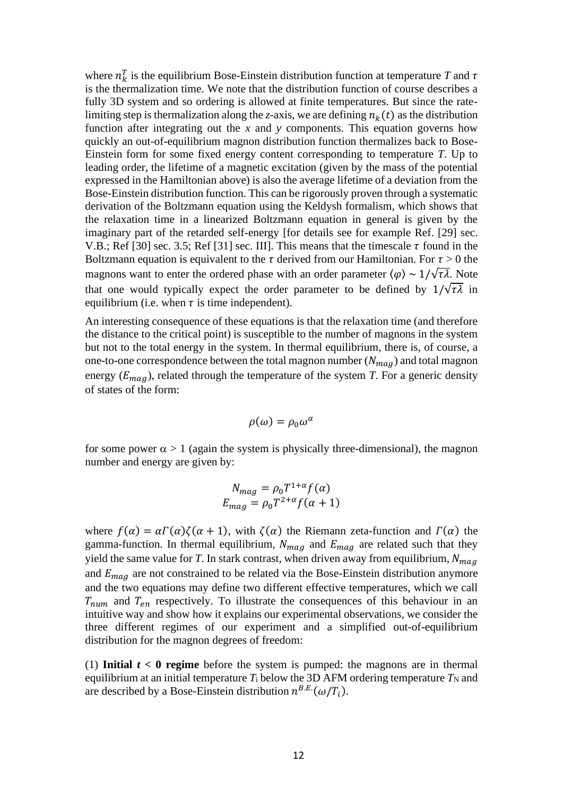where  $n_k^T$  is the equilibrium Bose-Einstein distribution function at temperature T and  $\tau$ is the thermalization time. We note that the distribution function of course describes a fully 3D system and so ordering is allowed at finite temperatures. But since the ratelimiting step is thermalization along the *z*-axis, we are defining  $n_k(t)$  as the distribution function after integrating out the *x* and *y* components. This equation governs how quickly an out-of-equilibrium magnon distribution function thermalizes back to Bose-Einstein form for some fixed energy content corresponding to temperature *T*. Up to leading order, the lifetime of a magnetic excitation (given by the mass of the potential expressed in the Hamiltonian above) is also the average lifetime of a deviation from the Bose-Einstein distribution function. This can be rigorously proven through a systematic derivation of the Boltzmann equation using the Keldysh formalism, which shows that the relaxation time in a linearized Boltzmann equation in general is given by the imaginary part of the retarded self-energy [for details see for example Ref. [29] sec. V.B.; Ref [30] sec. 3.5; Ref [31] sec. III]. This means that the timescale  $\tau$  found in the Boltzmann equation is equivalent to the  $\tau$  derived from our Hamiltonian. For  $\tau > 0$  the magnons want to enter the ordered phase with an order parameter  $\langle \varphi \rangle \sim 1/\sqrt{\tau \lambda}$ . Note that one would typically expect the order parameter to be defined by  $1/\sqrt{\tau\lambda}$  in equilibrium (i.e. when  $\tau$  is time independent).

An interesting consequence of these equations is that the relaxation time (and therefore the distance to the critical point) is susceptible to the number of magnons in the system but not to the total energy in the system. In thermal equilibrium, there is, of course, a one-to-one correspondence between the total magnon number  $(N_{mag})$  and total magnon energy  $(E_{mag})$ , related through the temperature of the system *T*. For a generic density of states of the form:

$$
\rho(\omega) = \rho_0 \omega^{\alpha}
$$

for some power  $\alpha > 1$  (again the system is physically three-dimensional), the magnon number and energy are given by:

$$
N_{mag} = \rho_0 T^{1+\alpha} f(\alpha)
$$
  

$$
E_{mag} = \rho_0 T^{2+\alpha} f(\alpha + 1)
$$

where  $f(\alpha) = \alpha \Gamma(\alpha) \zeta(\alpha + 1)$ , with  $\zeta(\alpha)$  the Riemann zeta-function and  $\Gamma(\alpha)$  the gamma-function. In thermal equilibrium,  $N_{mag}$  and  $E_{mag}$  are related such that they yield the same value for *T*. In stark contrast, when driven away from equilibrium,  $N_{mag}$ and  $E_{maq}$  are not constrained to be related via the Bose-Einstein distribution anymore and the two equations may define two different effective temperatures, which we call  $T_{num}$  and  $T_{en}$  respectively. To illustrate the consequences of this behaviour in an intuitive way and show how it explains our experimental observations, we consider the three different regimes of our experiment and a simplified out-of-equilibrium distribution for the magnon degrees of freedom:

(1) **Initial**  $t < 0$  **regime** before the system is pumped: the magnons are in thermal equilibrium at an initial temperature  $T_i$  below the 3D AFM ordering temperature  $T_N$  and are described by a Bose-Einstein distribution  $n^{B.E.}(\omega/T_i)$ .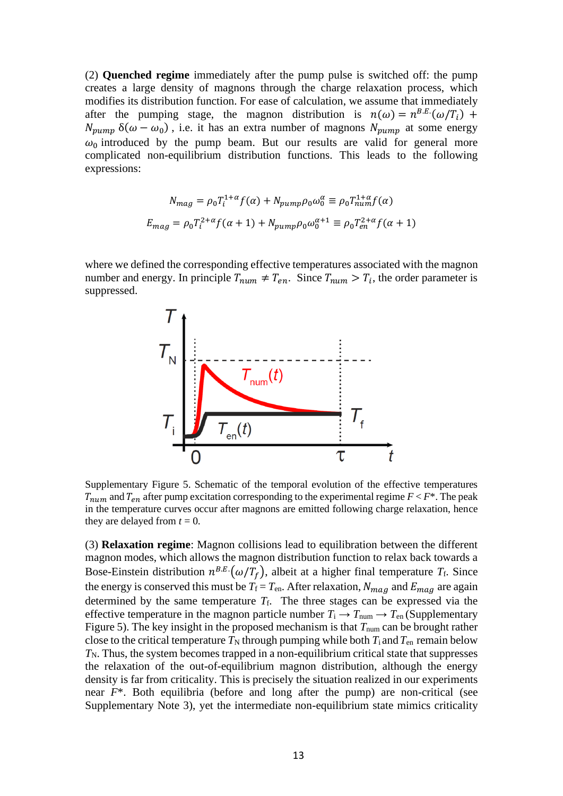(2) **Quenched regime** immediately after the pump pulse is switched off: the pump creates a large density of magnons through the charge relaxation process, which modifies its distribution function. For ease of calculation, we assume that immediately after the pumping stage, the magnon distribution is  $n(\omega) = n^{B.E.}(\omega/T_i)$  +  $N_{pump}$   $\delta(\omega - \omega_0)$ , i.e. it has an extra number of magnons  $N_{pump}$  at some energy  $\omega_0$  introduced by the pump beam. But our results are valid for general more complicated non-equilibrium distribution functions. This leads to the following expressions:

$$
N_{mag} = \rho_0 T_i^{1+\alpha} f(\alpha) + N_{pump} \rho_0 \omega_0^{\alpha} \equiv \rho_0 T_{num}^{1+\alpha} f(\alpha)
$$
  

$$
E_{mag} = \rho_0 T_i^{2+\alpha} f(\alpha+1) + N_{pump} \rho_0 \omega_0^{\alpha+1} \equiv \rho_0 T_{en}^{2+\alpha} f(\alpha+1)
$$

where we defined the corresponding effective temperatures associated with the magnon number and energy. In principle  $T_{num} \neq T_{en}$ . Since  $T_{num} > T_i$ , the order parameter is suppressed.



Supplementary Figure 5. Schematic of the temporal evolution of the effective temperatures  $T_{num}$  and  $T_{en}$  after pump excitation corresponding to the experimental regime  $F < F^*$ . The peak in the temperature curves occur after magnons are emitted following charge relaxation, hence they are delayed from  $t = 0$ .

(3) **Relaxation regime**: Magnon collisions lead to equilibration between the different magnon modes, which allows the magnon distribution function to relax back towards a Bose-Einstein distribution  $n^{B.E.}(\omega/T_f)$ , albeit at a higher final temperature  $T_f$ . Since the energy is conserved this must be  $T_f = T_{en}$ . After relaxation,  $N_{mag}$  and  $E_{mag}$  are again determined by the same temperature  $T_f$ . The three stages can be expressed via the effective temperature in the magnon particle number  $T_i \rightarrow T_{\text{num}} \rightarrow T_{\text{en}}$  (Supplementary Figure 5). The key insight in the proposed mechanism is that  $T_{num}$  can be brought rather close to the critical temperature  $T_N$  through pumping while both  $T_i$  and  $T_{en}$  remain below  $T_N$ . Thus, the system becomes trapped in a non-equilibrium critical state that suppresses the relaxation of the out-of-equilibrium magnon distribution, although the energy density is far from criticality. This is precisely the situation realized in our experiments near *F*\*. Both equilibria (before and long after the pump) are non-critical (see Supplementary Note 3), yet the intermediate non-equilibrium state mimics criticality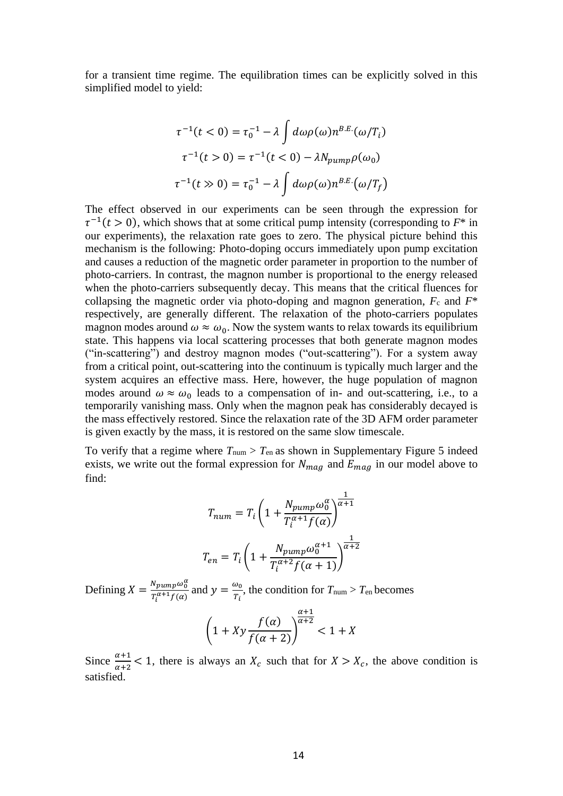for a transient time regime. The equilibration times can be explicitly solved in this simplified model to yield:

$$
\tau^{-1}(t < 0) = \tau_0^{-1} - \lambda \int d\omega \rho(\omega) n^{B.E.}(\omega/T_i)
$$

$$
\tau^{-1}(t > 0) = \tau^{-1}(t < 0) - \lambda N_{pump} \rho(\omega_0)
$$

$$
\tau^{-1}(t \gg 0) = \tau_0^{-1} - \lambda \int d\omega \rho(\omega) n^{B.E.}(\omega/T_f)
$$

The effect observed in our experiments can be seen through the expression for  $\tau^{-1}(t > 0)$ , which shows that at some critical pump intensity (corresponding to  $F^*$  in our experiments), the relaxation rate goes to zero. The physical picture behind this mechanism is the following: Photo-doping occurs immediately upon pump excitation and causes a reduction of the magnetic order parameter in proportion to the number of photo-carriers. In contrast, the magnon number is proportional to the energy released when the photo-carriers subsequently decay. This means that the critical fluences for collapsing the magnetic order via photo-doping and magnon generation,  $F_c$  and  $F^*$ respectively, are generally different. The relaxation of the photo-carriers populates magnon modes around  $\omega \approx \omega_0$ . Now the system wants to relax towards its equilibrium state. This happens via local scattering processes that both generate magnon modes ("in-scattering") and destroy magnon modes ("out-scattering"). For a system away from a critical point, out-scattering into the continuum is typically much larger and the system acquires an effective mass. Here, however, the huge population of magnon modes around  $\omega \approx \omega_0$  leads to a compensation of in- and out-scattering, i.e., to a temporarily vanishing mass. Only when the magnon peak has considerably decayed is the mass effectively restored. Since the relaxation rate of the 3D AFM order parameter is given exactly by the mass, it is restored on the same slow timescale.

To verify that a regime where  $T_{\text{num}} > T_{\text{en}}$  as shown in Supplementary Figure 5 indeed exists, we write out the formal expression for  $N_{mag}$  and  $E_{mag}$  in our model above to find:

$$
T_{num} = T_i \left( 1 + \frac{N_{pump} \omega_0^{\alpha}}{T_i^{\alpha+1} f(\alpha)} \right)^{\frac{1}{\alpha+1}}
$$

$$
T_{en} = T_i \left( 1 + \frac{N_{pump} \omega_0^{\alpha+1}}{T_i^{\alpha+2} f(\alpha+1)} \right)^{\frac{1}{\alpha+2}}
$$

Defining  $X = \frac{N_{pump}\omega_0^{\alpha}}{T_{q+1,\epsilon(\alpha)}}$  $\frac{N_{pump}\omega_0^{\alpha}}{T_l^{\alpha+1}f(\alpha)}$  and  $y = \frac{\omega_0}{T_l}$  $\frac{w_0}{r_i}$ , the condition for  $T_{\text{num}} > T_{\text{en}}$  becomes

$$
\left(1+Xy\frac{f(\alpha)}{f(\alpha+2)}\right)^{\frac{\alpha+1}{\alpha+2}} < 1+X
$$

Since  $\frac{\alpha+1}{\alpha+2}$  < 1, there is always an  $X_c$  such that for  $X > X_c$ , the above condition is satisfied.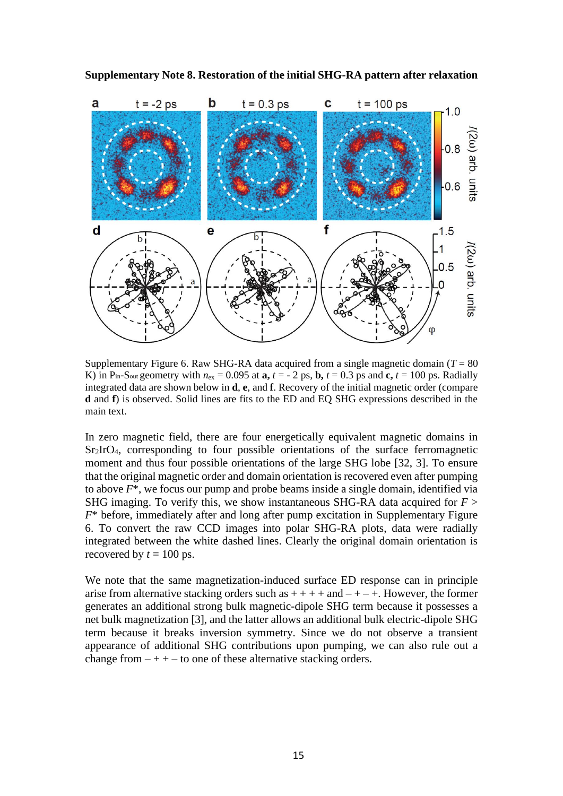



Supplementary Figure 6. Raw SHG-RA data acquired from a single magnetic domain  $(T = 80$ K) in P<sub>in-Sout</sub> geometry with  $n_{ex} = 0.095$  at  $\mathbf{a}$ ,  $t = -2$  ps,  $\mathbf{b}$ ,  $t = 0.3$  ps and  $\mathbf{c}$ ,  $t = 100$  ps. Radially integrated data are shown below in **d**, **e**, and **f**. Recovery of the initial magnetic order (compare **d** and **f**) is observed*.* Solid lines are fits to the ED and EQ SHG expressions described in the main text.

In zero magnetic field, there are four energetically equivalent magnetic domains in Sr<sub>2</sub>IrO<sub>4</sub>, corresponding to four possible orientations of the surface ferromagnetic moment and thus four possible orientations of the large SHG lobe [32, 3]. To ensure that the original magnetic order and domain orientation is recovered even after pumping to above *F*\*, we focus our pump and probe beams inside a single domain, identified via SHG imaging. To verify this, we show instantaneous SHG-RA data acquired for *F* > *F*\* before, immediately after and long after pump excitation in Supplementary Figure 6. To convert the raw CCD images into polar SHG-RA plots, data were radially integrated between the white dashed lines. Clearly the original domain orientation is recovered by  $t = 100$  ps.

We note that the same magnetization-induced surface ED response can in principle arise from alternative stacking orders such as  $++++$  and  $-+-+$ . However, the former generates an additional strong bulk magnetic-dipole SHG term because it possesses a net bulk magnetization [3], and the latter allows an additional bulk electric-dipole SHG term because it breaks inversion symmetry. Since we do not observe a transient appearance of additional SHG contributions upon pumping, we can also rule out a change from  $-++$  – to one of these alternative stacking orders.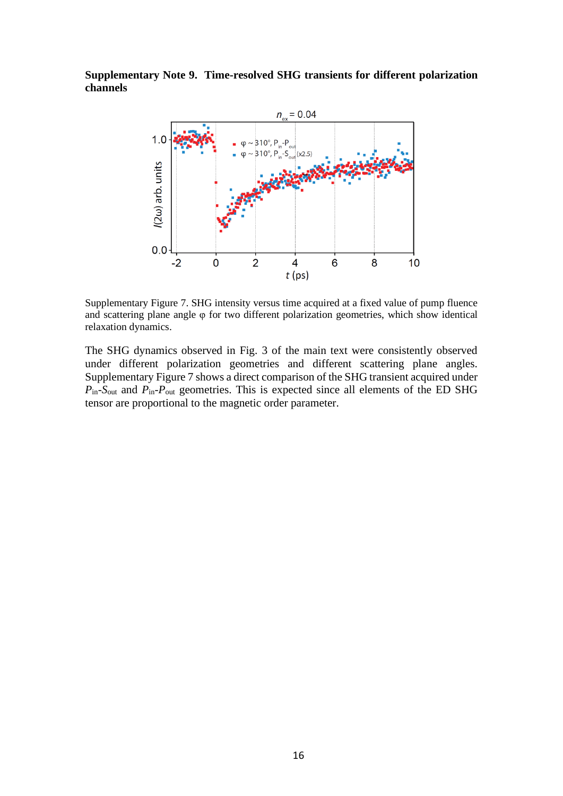**Supplementary Note 9. Time-resolved SHG transients for different polarization channels**



Supplementary Figure 7. SHG intensity versus time acquired at a fixed value of pump fluence and scattering plane angle φ for two different polarization geometries, which show identical relaxation dynamics.

The SHG dynamics observed in Fig. 3 of the main text were consistently observed under different polarization geometries and different scattering plane angles. Supplementary Figure 7 shows a direct comparison of the SHG transient acquired under *P*in-*S*out and *P*in-*P*out geometries. This is expected since all elements of the ED SHG tensor are proportional to the magnetic order parameter.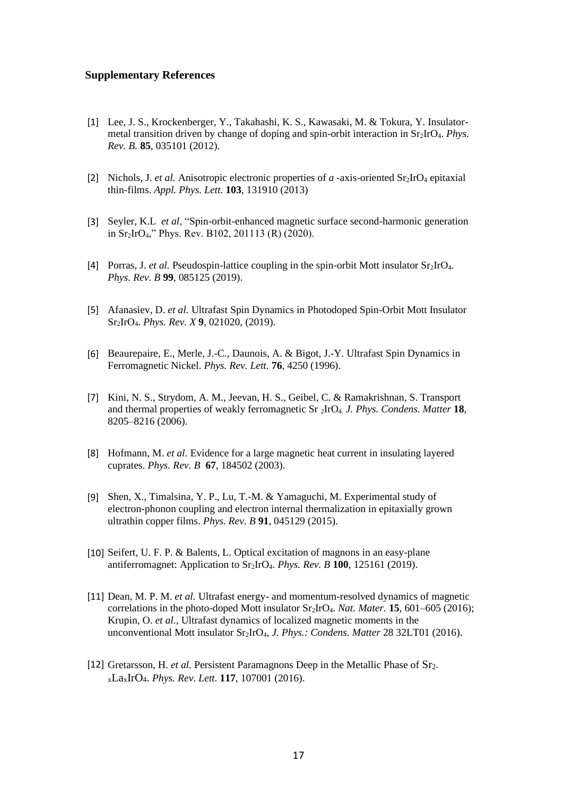#### **Supplementary References**

- [1] Lee, J. S., Krockenberger, Y., Takahashi, K. S., Kawasaki, M. & Tokura, Y. Insulatormetal transition driven by change of doping and spin-orbit interaction in Sr2IrO4. *Phys. Rev. B.* **85**, 035101 (2012).
- [2] Nichols, J. *et al.* Anisotropic electronic properties of *a* -axis-oriented Sr2IrO<sup>4</sup> epitaxial thin-films. *Appl. Phys. Lett.* **103**, 131910 (2013)
- [3] Seyler, K.L *et al*, "Spin-orbit-enhanced magnetic surface second-harmonic generation in Sr2IrO4," Phys. Rev. B102, 201113 (R) (2020).
- [4] Porras, J. *et al.* Pseudospin-lattice coupling in the spin-orbit Mott insulator  $Sr_2IrO<sub>4</sub>$ . *Phys. Rev. B* **99**, 085125 (2019).
- [5] Afanasiev, D. *et al.* Ultrafast Spin Dynamics in Photodoped Spin-Orbit Mott Insulator Sr2IrO4. *Phys. Rev. X* **9**, 021020, (2019).
- [6] Beaurepaire, E., Merle, J.-C., Daunois, A. & Bigot, J.-Y. Ultrafast Spin Dynamics in Ferromagnetic Nickel. *Phys. Rev. Lett.* **76**, 4250 (1996).
- [7] Kini, N. S., Strydom, A. M., Jeevan, H. S., Geibel, C. & Ramakrishnan, S. Transport and thermal properties of weakly ferromagnetic Sr 2IrO4. *J. Phys. Condens. Matter* **18**, 8205–8216 (2006).
- [8] Hofmann, M. *et al.* Evidence for a large magnetic heat current in insulating layered cuprates. *Phys. Rev. B* **67**, 184502 (2003).
- [9] Shen, X., Timalsina, Y. P., Lu, T.-M. & Yamaguchi, M. Experimental study of electron-phonon coupling and electron internal thermalization in epitaxially grown ultrathin copper films. *Phys. Rev. B* **91**, 045129 (2015).
- [10] Seifert, U. F. P. & Balents, L. Optical excitation of magnons in an easy-plane antiferromagnet: Application to Sr2IrO4. *Phys. Rev. B* **100**, 125161 (2019).
- [11] Dean, M. P. M. *et al.* Ultrafast energy- and momentum-resolved dynamics of magnetic correlations in the photo-doped Mott insulator Sr2IrO4. *Nat. Mater.* **15**, 601–605 (2016); Krupin, O. *et al.*, Ultrafast dynamics of localized magnetic moments in the unconventional Mott insulator Sr2IrO4, *J. Phys.: Condens. Matter* 28 32LT01 (2016).
- [12] Gretarsson, H. *et al.* Persistent Paramagnons Deep in the Metallic Phase of Sr2 <sup>x</sup>LaxIrO4. *Phys. Rev. Lett.* **117**, 107001 (2016).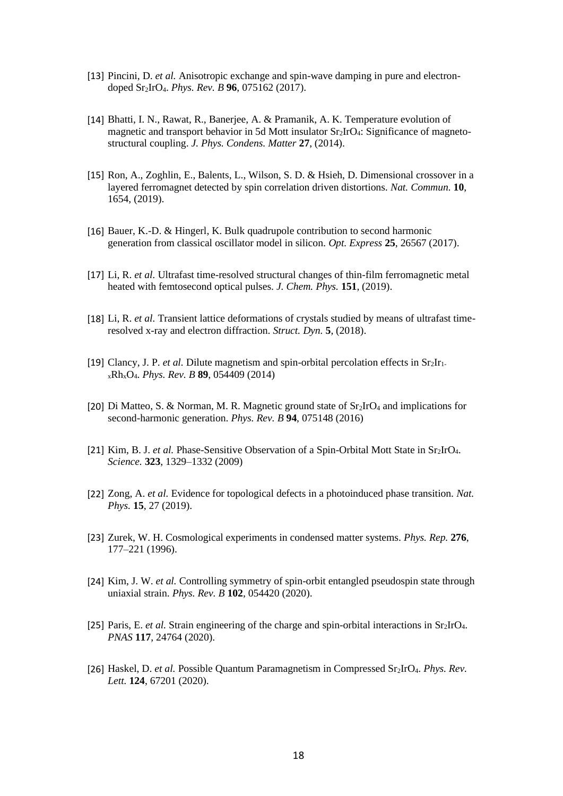- [13] Pincini, D. *et al.* Anisotropic exchange and spin-wave damping in pure and electrondoped Sr2IrO4. *Phys. Rev. B* **96**, 075162 (2017).
- [14] Bhatti, I. N., Rawat, R., Banerjee, A. & Pramanik, A. K. Temperature evolution of magnetic and transport behavior in 5d Mott insulator Sr2IrO4: Significance of magnetostructural coupling. *J. Phys. Condens. Matter* **27**, (2014).
- [15] Ron, A., Zoghlin, E., Balents, L., Wilson, S. D. & Hsieh, D. Dimensional crossover in a layered ferromagnet detected by spin correlation driven distortions. *Nat. Commun.* **10**, 1654, (2019).
- [16] Bauer, K.-D. & Hingerl, K. Bulk quadrupole contribution to second harmonic generation from classical oscillator model in silicon. *Opt. Express* **25**, 26567 (2017).
- [17] Li, R. *et al.* Ultrafast time-resolved structural changes of thin-film ferromagnetic metal heated with femtosecond optical pulses. *J. Chem. Phys.* **151**, (2019).
- [18] Li, R. *et al.* Transient lattice deformations of crystals studied by means of ultrafast timeresolved x-ray and electron diffraction. *Struct. Dyn.* **5**, (2018).
- [19] Clancy, J. P. *et al.* Dilute magnetism and spin-orbital percolation effects in Sr2Ir1 <sup>x</sup>RhxO4. *Phys. Rev. B* **89**, 054409 (2014)
- [20] Di Matteo, S. & Norman, M. R. Magnetic ground state of  $Sr<sub>2</sub>IrO<sub>4</sub>$  and implications for second-harmonic generation. *Phys. Rev. B* **94**, 075148 (2016)
- [21] Kim, B. J. *et al.* Phase-Sensitive Observation of a Spin-Orbital Mott State in Sr2IrO4. *Science.* **323**, 1329–1332 (2009)
- [22] Zong, A. *et al.* Evidence for topological defects in a photoinduced phase transition. *Nat. Phys.* **15**, 27 (2019).
- [23] Zurek, W. H. Cosmological experiments in condensed matter systems. *Phys. Rep.* **276**, 177–221 (1996).
- [24] Kim, J. W. *et al.* Controlling symmetry of spin-orbit entangled pseudospin state through uniaxial strain. *Phys. Rev. B* **102**, 054420 (2020).
- [25] Paris, E. *et al.* Strain engineering of the charge and spin-orbital interactions in Sr2IrO4. *PNAS* **117**, 24764 (2020).
- [26] Haskel, D. *et al.* Possible Quantum Paramagnetism in Compressed Sr2IrO4. *Phys. Rev. Lett.* **124**, 67201 (2020).